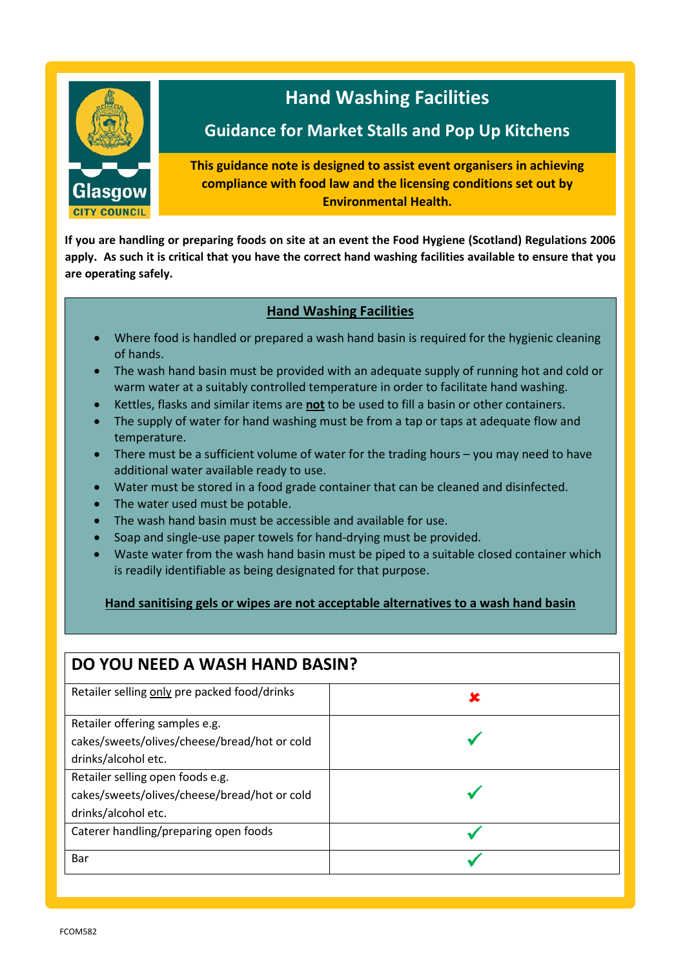

**If you are handling or preparing foods on site at an event the Food Hygiene (Scotland) Regulations 2006 apply. As such it is critical that you have the correct hand washing facilities available to ensure that you are operating safely.**

### **Hand Washing Facilities**

- **•** Where food is handled or prepared a wash hand basin is required for the hygienic cleaning of hands.
- **•** The wash hand basin must be provided with an adequate supply of running hot and cold or warm water at a suitably controlled temperature in order to facilitate hand washing.
	- Kettles, flasks and similar items are **not** to be used to fill a basin or other containers.
	- The supply of water for hand washing must be from a tap or taps at adequate flow and temperature.
	- There must be a sufficient volume of water for the trading hours you may need to have additional water available ready to use.
	- Water must be stored in a food grade container that can be cleaned and disinfected.
	- The water used must be potable.

**Washing Facilities**

- The wash hand basin must be accessible and available for use.
- Soap and single-use paper towels for hand-drying must be provided.
- Waste water from the wash hand basin must be piped to a suitable closed container which is readily identifiable as being designated for that purpose.

#### **Hand sanitising gels or wipes are not acceptable alternatives to a wash hand basin**

## **DO YOU NEED A WASH HAND BASIN?** Retailer selling only pre packed food/drinks  $\begin{array}{c} \hline \end{array}$ Retailer offering samples e.g. cakes/sweets/olives/cheese/bread/hot or cold drinks/alcohol etc.  $\checkmark$ Retailer selling open foods e.g. cakes/sweets/olives/cheese/bread/hot or cold drinks/alcohol etc.  $\checkmark$ Caterer handling/preparing open foods Bar  $\sqrt{ }$